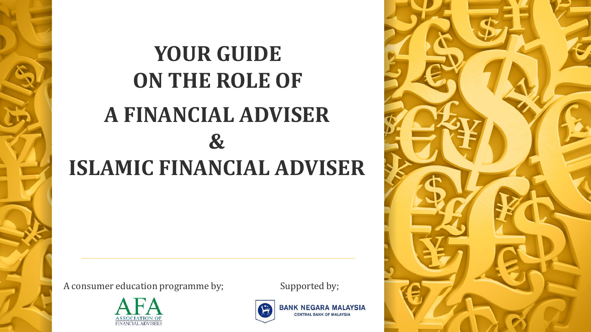# **YOUR GUIDE ON THE ROLE OF A FINANCIAL ADVISER & ISLAMIC FINANCIAL ADVISER**

A consumer education programme by;



Supported by;



**BANK NEGARA MALAYSIA CENTRAL BANK OF MALAYSIA** 

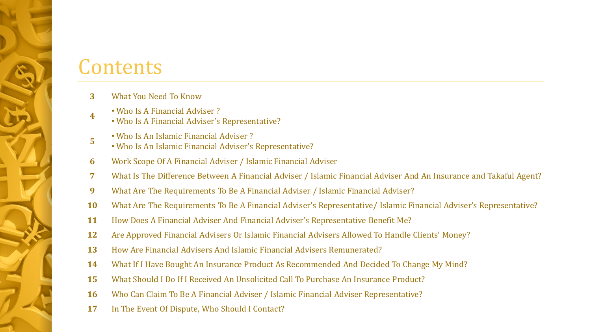#### **Contents**

- What You Need To Know
- • Who Is A Financial Adviser ?
	- Who Is A Financial Adviser's Representative?
- • Who Is An Islamic Financial Adviser ?
	- Who Is An Islamic Financial Adviser's Representative?
- Work Scope Of A Financial Adviser / Islamic Financial Adviser
- What Is The Difference Between A Financial Adviser / Islamic Financial Adviser And An Insurance and Takaful Agent?
- What Are The Requirements To Be A Financial Adviser / Islamic Financial Adviser?
- What Are The Requirements To Be A Financial Adviser's Representative/ Islamic Financial Adviser's Representative?
- How Does A Financial Adviser And Financial Adviser's Representative Benefit Me?
- Are Approved Financial Advisers Or Islamic Financial Advisers Allowed To Handle Clients' Money?
- How Are Financial Advisers And Islamic Financial Advisers Remunerated?
- What If I Have Bought An Insurance Product As Recommended And Decided To Change My Mind?
- What Should I Do If I Received An Unsolicited Call To Purchase An Insurance Product?
- Who Can Claim To Be A Financial Adviser / Islamic Financial Adviser Representative?
- In The Event Of Dispute, Who Should I Contact?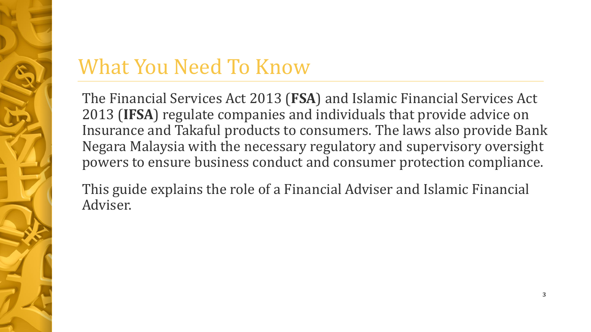# What You Need To Know

The Financial Services Act 2013 (**FSA**) and Islamic Financial Services Act 2013 (**IFSA**) regulate companies and individuals that provide advice on Insurance and Takaful products to consumers. The laws also provide Bank Negara Malaysia with the necessary regulatory and supervisory oversight powers to ensure business conduct and consumer protection compliance.

This guide explains the role of a Financial Adviser and Islamic Financial Adviser.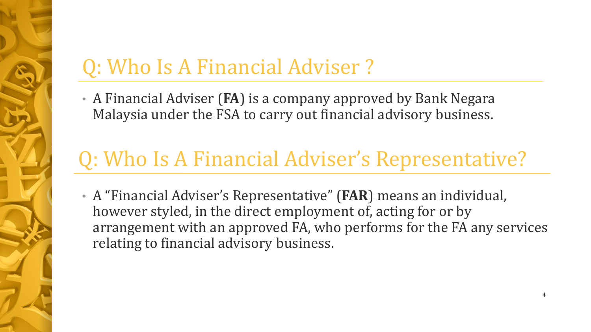# Q: Who Is A Financial Adviser ?

• A Financial Adviser (**FA**) is a company approved by Bank Negara Malaysia under the FSA to carry out financial advisory business.

# Q: Who Is A Financial Adviser's Representative?

• A "Financial Adviser's Representative" (**FAR**) means an individual, however styled, in the direct employment of, acting for or by arrangement with an approved FA, who performs for the FA any services relating to financial advisory business.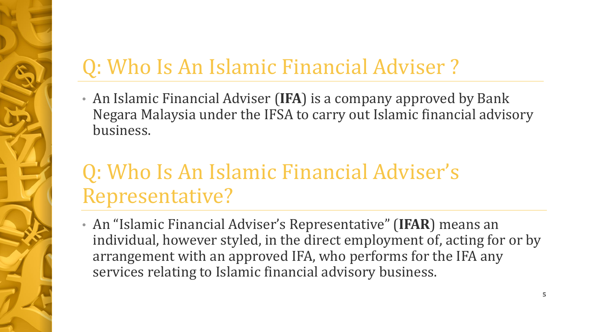# Q: Who Is An Islamic Financial Adviser ?

• An Islamic Financial Adviser (**IFA**) is a company approved by Bank Negara Malaysia under the IFSA to carry out Islamic financial advisory business.

## Q: Who Is An Islamic Financial Adviser's Representative?

• An "Islamic Financial Adviser's Representative" (**IFAR**) means an individual, however styled, in the direct employment of, acting for or by arrangement with an approved IFA, who performs for the IFA any services relating to Islamic financial advisory business.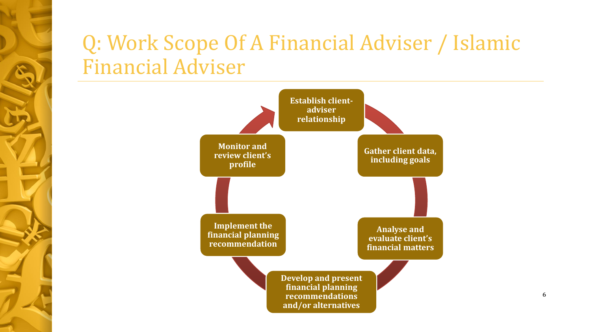## Q: Work Scope Of A Financial Adviser / Islamic Financial Adviser

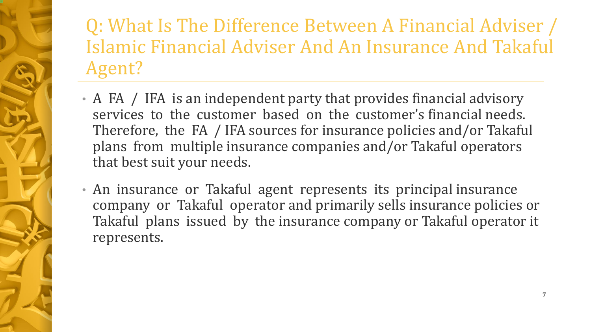## Q: What Is The Difference Between A Financial Adviser / Islamic Financial Adviser And An Insurance And Takaful Agent?

- A FA / IFA is an independent party that provides financial advisory services to the customer based on the customer's financial needs. Therefore, the FA / IFA sources for insurance policies and/or Takaful plans from multiple insurance companies and/or Takaful operators that best suit your needs.
- An insurance or Takaful agent represents its principal insurance company or Takaful operator and primarily sells insurance policies or Takaful plans issued by the insurance company or Takaful operator it represents.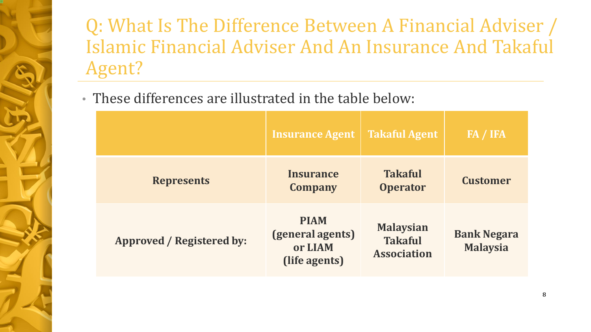Q: What Is The Difference Between A Financial Adviser / Islamic Financial Adviser And An Insurance And Takaful Agent?

• These differences are illustrated in the table below:

|                           | <b>Insurance Agent</b>                                      | <b>Takaful Agent</b>                                     | FA / IFA                              |
|---------------------------|-------------------------------------------------------------|----------------------------------------------------------|---------------------------------------|
| <b>Represents</b>         | <b>Insurance</b><br><b>Company</b>                          | <b>Takaful</b><br><b>Operator</b>                        | <b>Customer</b>                       |
| Approved / Registered by: | <b>PIAM</b><br>(general agents)<br>or LIAM<br>(life agents) | <b>Malaysian</b><br><b>Takaful</b><br><b>Association</b> | <b>Bank Negara</b><br><b>Malaysia</b> |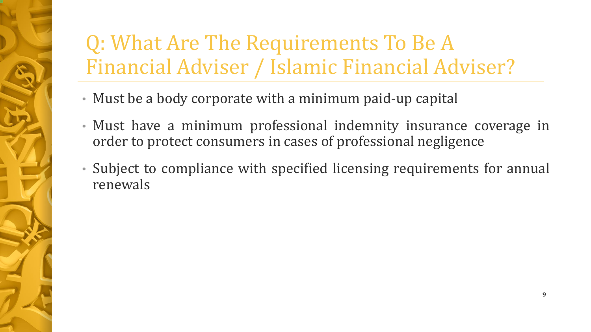# Q: What Are The Requirements To Be A Financial Adviser / Islamic Financial Adviser?

- Must be a body corporate with a minimum paid-up capital
- Must have a minimum professional indemnity insurance coverage in order to protect consumers in cases of professional negligence
- Subject to compliance with specified licensing requirements for annual renewals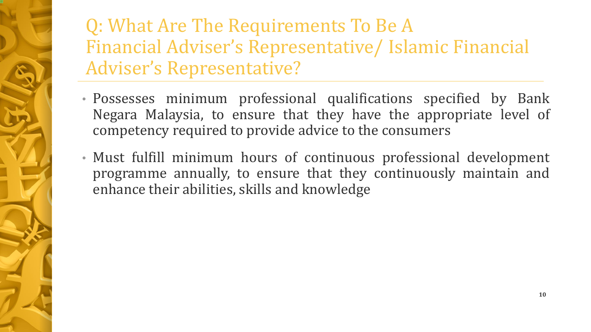#### Q: What Are The Requirements To Be A Financial Adviser's Representative/ Islamic Financial Adviser's Representative?

- Possesses minimum professional qualifications specified by Bank Negara Malaysia, to ensure that they have the appropriate level of competency required to provide advice to the consumers
- Must fulfill minimum hours of continuous professional development programme annually, to ensure that they continuously maintain and enhance their abilities, skills and knowledge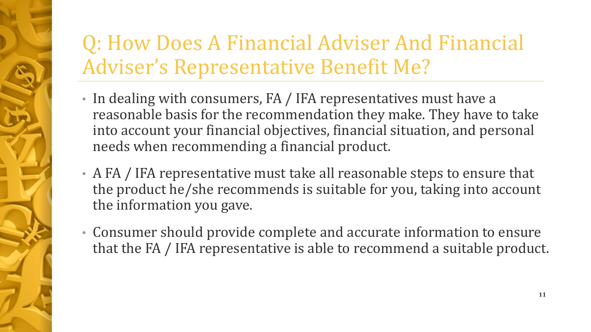# Q: How Does A Financial Adviser And Financial Adviser's Representative Benefit Me?

- In dealing with consumers, FA / IFA representatives must have a reasonable basis for the recommendation they make. They have to take into account your financial objectives, financial situation, and personal needs when recommending a financial product.
- A FA / IFA representative must take all reasonable steps to ensure that the product he/she recommends is suitable for you, taking into account the information you gave.
- Consumer should provide complete and accurate information to ensure that the FA / IFA representative is able to recommend a suitable product.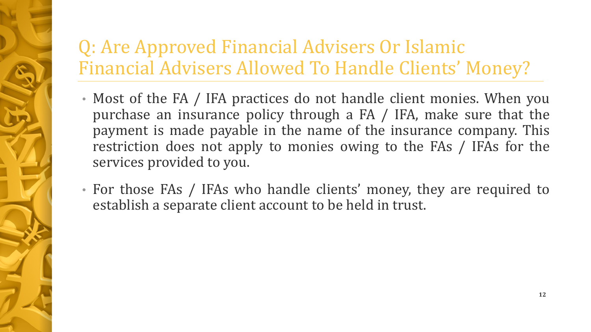## Q: Are Approved Financial Advisers Or Islamic Financial Advisers Allowed To Handle Clients' Money?

- Most of the FA / IFA practices do not handle client monies. When you purchase an insurance policy through a FA / IFA, make sure that the payment is made payable in the name of the insurance company. This restriction does not apply to monies owing to the FAs / IFAs for the services provided to you.
- For those FAs / IFAs who handle clients' money, they are required to establish a separate client account to be held in trust.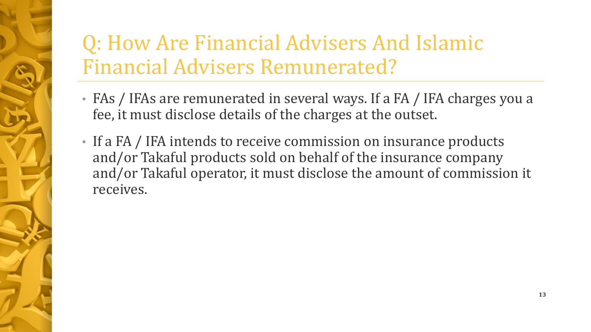# Q: How Are Financial Advisers And Islamic Financial Advisers Remunerated?

- FAs / IFAs are remunerated in several ways. If a FA / IFA charges you a fee, it must disclose details of the charges at the outset.
- If a FA / IFA intends to receive commission on insurance products and/or Takaful products sold on behalf of the insurance company and/or Takaful operator, it must disclose the amount of commission it receives.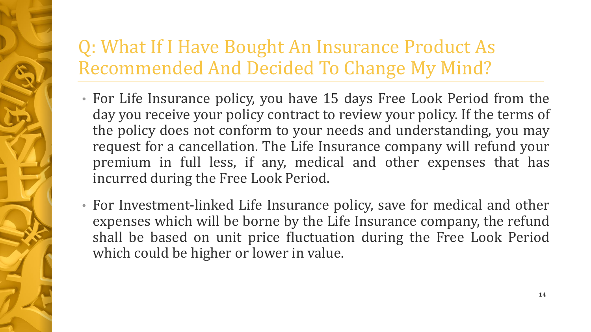## Q: What If I Have Bought An Insurance Product As Recommended And Decided To Change My Mind?

- For Life Insurance policy, you have 15 days Free Look Period from the day you receive your policy contract to review your policy. If the terms of the policy does not conform to your needs and understanding, you may request for a cancellation. The Life Insurance company will refund your premium in full less, if any, medical and other expenses that has incurred during the Free Look Period.
- For Investment-linked Life Insurance policy, save for medical and other expenses which will be borne by the Life Insurance company, the refund shall be based on unit price fluctuation during the Free Look Period which could be higher or lower in value.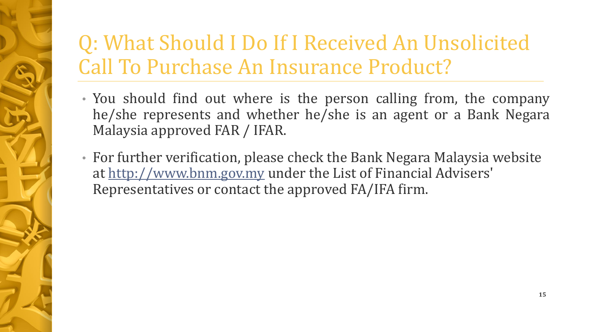# Q: What Should I Do If I Received An Unsolicited Call To Purchase An Insurance Product?

- You should find out where is the person calling from, the company he/she represents and whether he/she is an agent or a Bank Negara Malaysia approved FAR / IFAR.
- For further verification, please check the Bank Negara Malaysia website at [http://www.bnm.gov.my](http://www.bnm.gov.my/) under the List of Financial Advisers' Representatives or contact the approved FA/IFA firm.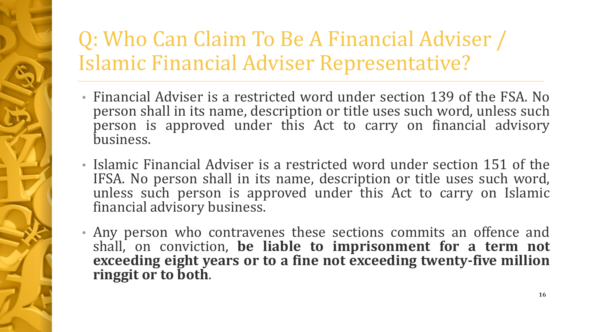# Q: Who Can Claim To Be A Financial Adviser / Islamic Financial Adviser Representative?

- Financial Adviser is a restricted word under section 139 of the FSA. No person shall in its name, description or title uses such word, unless such person is approved under this Act to carry on financial advisory business.
- Islamic Financial Adviser is a restricted word under section 151 of the IFSA. No person shall in its name, description or title uses such word, unless such person is approved under this Act to carry on Islamic financial advisory business.
- Any person who contravenes these sections commits an offence and shall, on conviction, **be liable to imprisonment for a term not exceeding eight years or to a fine not exceeding twenty-five million ringgit or to both**.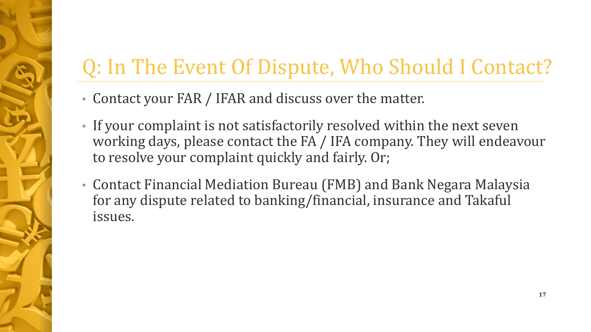# Q: In The Event Of Dispute, Who Should I Contact?

- Contact your FAR / IFAR and discuss over the matter.
- If your complaint is not satisfactorily resolved within the next seven working days, please contact the FA / IFA company. They will endeavour to resolve your complaint quickly and fairly. Or;
- Contact Financial Mediation Bureau (FMB) and Bank Negara Malaysia for any dispute related to banking/financial, insurance and Takaful issues.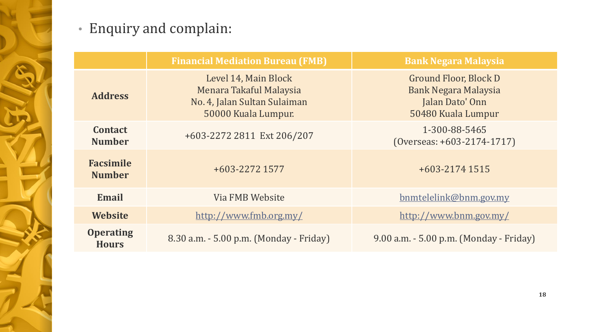

#### • Enquiry and complain:

|                                   | <b>Financial Mediation Bureau (FMB)</b>                                                                | <b>Bank Negara Malaysia</b>                                                                   |  |
|-----------------------------------|--------------------------------------------------------------------------------------------------------|-----------------------------------------------------------------------------------------------|--|
| <b>Address</b>                    | Level 14, Main Block<br>Menara Takaful Malaysia<br>No. 4, Jalan Sultan Sulaiman<br>50000 Kuala Lumpur. | Ground Floor, Block D<br><b>Bank Negara Malaysia</b><br>Jalan Dato' Onn<br>50480 Kuala Lumpur |  |
| <b>Contact</b><br><b>Number</b>   | +603-2272 2811 Ext 206/207                                                                             | 1-300-88-5465<br>$(0$ verseas: +603-2174-1717)                                                |  |
| <b>Facsimile</b><br><b>Number</b> | +603-2272 1577                                                                                         | $+603-21741515$                                                                               |  |
| <b>Email</b>                      | Via FMB Website<br>bnmtelelink@bnm.gov.my                                                              |                                                                                               |  |
| <b>Website</b>                    | http://www.fmb.org.my/                                                                                 | http://www.bnm.gov.my/                                                                        |  |
| <b>Operating</b><br><b>Hours</b>  | 8.30 a.m. - 5.00 p.m. (Monday - Friday)                                                                | 9.00 a.m. - 5.00 p.m. (Monday - Friday)                                                       |  |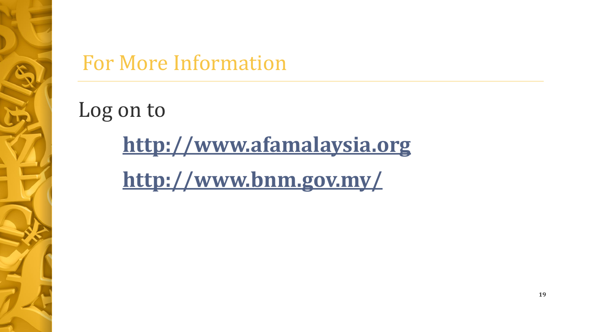

# For More Information

Log on to

**[http://www.afamalaysia.org](http://www.afamalaysia.org/)**

**[http://www.bnm.gov.my/](mailto:http://www.bnm.gov.my/)**